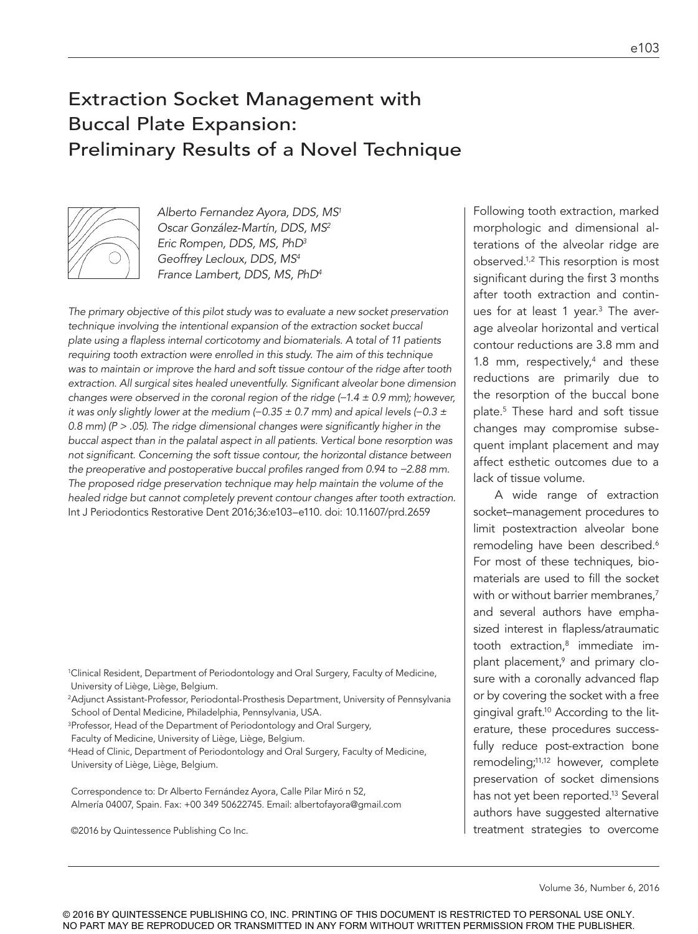# Extraction Socket Management with Buccal Plate Expansion: Preliminary Results of a Novel Technique



*Alberto Fernandez Ayora, DDS, MS1 Oscar González-Martín, DDS, MS2 Eric Rompen, DDS, MS, PhD3 Geoffrey Lecloux, DDS, MS4 France Lambert, DDS, MS, PhD4*

*The primary objective of this pilot study was to evaluate a new socket preservation technique involving the intentional expansion of the extraction socket buccal plate using a flapless internal corticotomy and biomaterials. A total of 11 patients requiring tooth extraction were enrolled in this study. The aim of this technique was to maintain or improve the hard and soft tissue contour of the ridge after tooth extraction. All surgical sites healed uneventfully. Significant alveolar bone dimension changes were observed in the coronal region of the ridge (−1.4 ± 0.9 mm); however, it was only slightly lower at the medium (−0.35 ± 0.7 mm) and apical levels (−0.3 ± 0.8 mm) (P > .05). The ridge dimensional changes were significantly higher in the buccal aspect than in the palatal aspect in all patients. Vertical bone resorption was not significant. Concerning the soft tissue contour, the horizontal distance between the preoperative and postoperative buccal profiles ranged from 0.94 to −2.88 mm. The proposed ridge preservation technique may help maintain the volume of the healed ridge but cannot completely prevent contour changes after tooth extraction.*  Int J Periodontics Restorative Dent 2016;36:e103–e110. doi: 10.11607/prd.2659

1Clinical Resident, Department of Periodontology and Oral Surgery, Faculty of Medicine, University of Liège, Liège, Belgium.

2Adjunct Assistant-Professor, Periodontal-Prosthesis Department, University of Pennsylvania School of Dental Medicine, Philadelphia, Pennsylvania, USA.

<sup>3</sup>Professor, Head of the Department of Periodontology and Oral Surgery,

Faculty of Medicine, University of Liège, Liège, Belgium.

4Head of Clinic, Department of Periodontology and Oral Surgery, Faculty of Medicine, University of Liège, Liège, Belgium.

Correspondence to: Dr Alberto Fernández Ayora, Calle Pilar Miró n 52, Almería 04007, Spain. Fax: +00 349 50622745. Email: albertofayora@gmail.com

©2016 by Quintessence Publishing Co Inc.

Following tooth extraction, marked morphologic and dimensional alterations of the alveolar ridge are observed.1,2 This resorption is most significant during the first 3 months after tooth extraction and continues for at least 1 year.<sup>3</sup> The average alveolar horizontal and vertical contour reductions are 3.8 mm and 1.8 mm, respectively, $4$  and these reductions are primarily due to the resorption of the buccal bone plate.5 These hard and soft tissue changes may compromise subsequent implant placement and may affect esthetic outcomes due to a lack of tissue volume.

A wide range of extraction socket–management procedures to limit postextraction alveolar bone remodeling have been described.<sup>6</sup> For most of these techniques, biomaterials are used to fill the socket with or without barrier membranes.<sup>7</sup> and several authors have emphasized interest in flapless/atraumatic tooth extraction,<sup>8</sup> immediate implant placement,9 and primary closure with a coronally advanced flap or by covering the socket with a free gingival graft.10 According to the literature, these procedures successfully reduce post-extraction bone remodeling;11,12 however, complete preservation of socket dimensions has not yet been reported.<sup>13</sup> Several authors have suggested alternative treatment strategies to overcome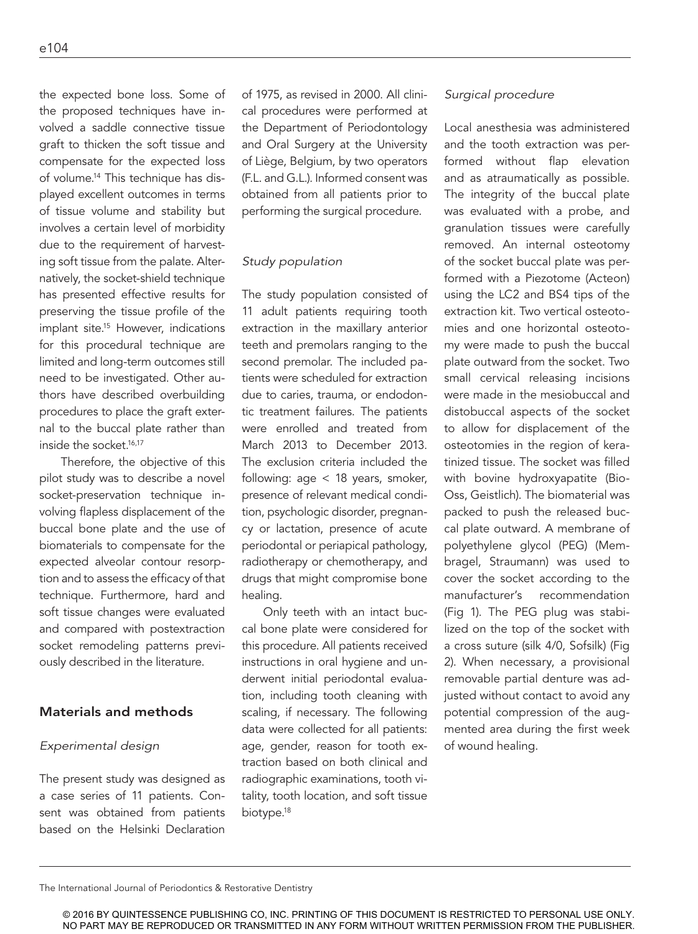the expected bone loss. Some of the proposed techniques have involved a saddle connective tissue graft to thicken the soft tissue and compensate for the expected loss of volume.14 This technique has displayed excellent outcomes in terms of tissue volume and stability but involves a certain level of morbidity due to the requirement of harvesting soft tissue from the palate. Alternatively, the socket-shield technique has presented effective results for preserving the tissue profile of the implant site.<sup>15</sup> However, indications for this procedural technique are limited and long-term outcomes still need to be investigated. Other authors have described overbuilding procedures to place the graft external to the buccal plate rather than inside the socket.16,17

Therefore, the objective of this pilot study was to describe a novel socket-preservation technique involving flapless displacement of the buccal bone plate and the use of biomaterials to compensate for the expected alveolar contour resorption and to assess the efficacy of that technique. Furthermore, hard and soft tissue changes were evaluated and compared with postextraction socket remodeling patterns previously described in the literature.

## Materials and methods

#### *Experimental design*

The present study was designed as a case series of 11 patients. Consent was obtained from patients based on the Helsinki Declaration

of 1975, as revised in 2000. All clinical procedures were performed at the Department of Periodontology and Oral Surgery at the University of Liège, Belgium, by two operators (F.L. and G.L.). Informed consent was obtained from all patients prior to performing the surgical procedure.

#### *Study population*

The study population consisted of 11 adult patients requiring tooth extraction in the maxillary anterior teeth and premolars ranging to the second premolar. The included patients were scheduled for extraction due to caries, trauma, or endodontic treatment failures. The patients were enrolled and treated from March 2013 to December 2013. The exclusion criteria included the following: age < 18 years, smoker, presence of relevant medical condition, psychologic disorder, pregnancy or lactation, presence of acute periodontal or periapical pathology, radiotherapy or chemotherapy, and drugs that might compromise bone healing.

Only teeth with an intact buccal bone plate were considered for this procedure. All patients received instructions in oral hygiene and underwent initial periodontal evaluation, including tooth cleaning with scaling, if necessary. The following data were collected for all patients: age, gender, reason for tooth extraction based on both clinical and radiographic examinations, tooth vitality, tooth location, and soft tissue biotype.<sup>18</sup>

#### *Surgical procedure*

Local anesthesia was administered and the tooth extraction was performed without flap elevation and as atraumatically as possible. The integrity of the buccal plate was evaluated with a probe, and granulation tissues were carefully removed. An internal osteotomy of the socket buccal plate was performed with a Piezotome (Acteon) using the LC2 and BS4 tips of the extraction kit. Two vertical osteotomies and one horizontal osteotomy were made to push the buccal plate outward from the socket. Two small cervical releasing incisions were made in the mesiobuccal and distobuccal aspects of the socket to allow for displacement of the osteotomies in the region of keratinized tissue. The socket was filled with bovine hydroxyapatite (Bio-Oss, Geistlich). The biomaterial was packed to push the released buccal plate outward. A membrane of polyethylene glycol (PEG) (Membragel, Straumann) was used to cover the socket according to the manufacturer's recommendation (Fig 1). The PEG plug was stabilized on the top of the socket with a cross suture (silk 4/0, Sofsilk) (Fig 2). When necessary, a provisional removable partial denture was adjusted without contact to avoid any potential compression of the augmented area during the first week of wound healing.

The International Journal of Periodontics & Restorative Dentistry

<sup>© 2016</sup> BY QUINTESSENCE PUBLISHING CO, INC. PRINTING OF THIS DOCUMENT IS RESTRICTED TO PERSONAL USE ONLY. NO PART MAY BE REPRODUCED OR TRANSMITTED IN ANY FORM WITHOUT WRITTEN PERMISSION FROM THE PUBLISHER.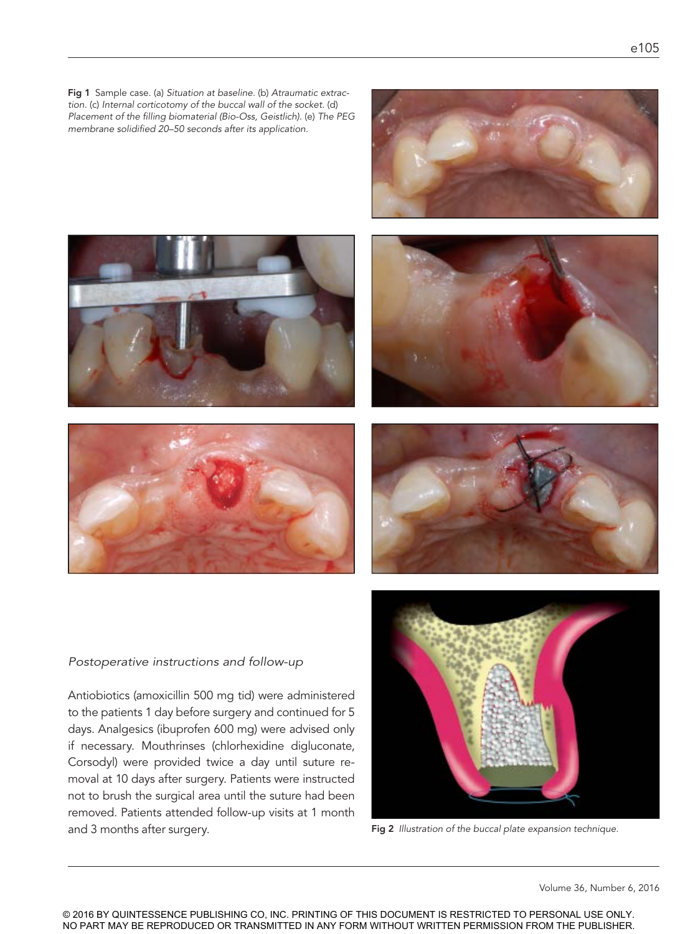Fig 1 Sample case. (a) *Situation at baseline.* (b) *Atraumatic extraction.* (c) *Internal corticotomy of the buccal wall of the socket.* (d) *Placement of the filling biomaterial (Bio-Oss, Geistlich).* (e) *The PEG membrane solidified 20–50 seconds after its application.*











## *Postoperative instructions and follow-up*

Antiobiotics (amoxicillin 500 mg tid) were administered to the patients 1 day before surgery and continued for 5 days. Analgesics (ibuprofen 600 mg) were advised only if necessary. Mouthrinses (chlorhexidine digluconate, Corsodyl) were provided twice a day until suture removal at 10 days after surgery. Patients were instructed not to brush the surgical area until the suture had been removed. Patients attended follow-up visits at 1 month and 3 months after surgery. The state of the buccal plate expansion technique.



© 2016 BY QUINTESSENCE PUBLISHING CO, INC. PRINTING OF THIS DOCUMENT IS RESTRICTED TO PERSONAL USE ONLY. NO PART MAY BE REPRODUCED OR TRANSMITTED IN ANY FORM WITHOUT WRITTEN PERMISSION FROM THE PUBLISHER.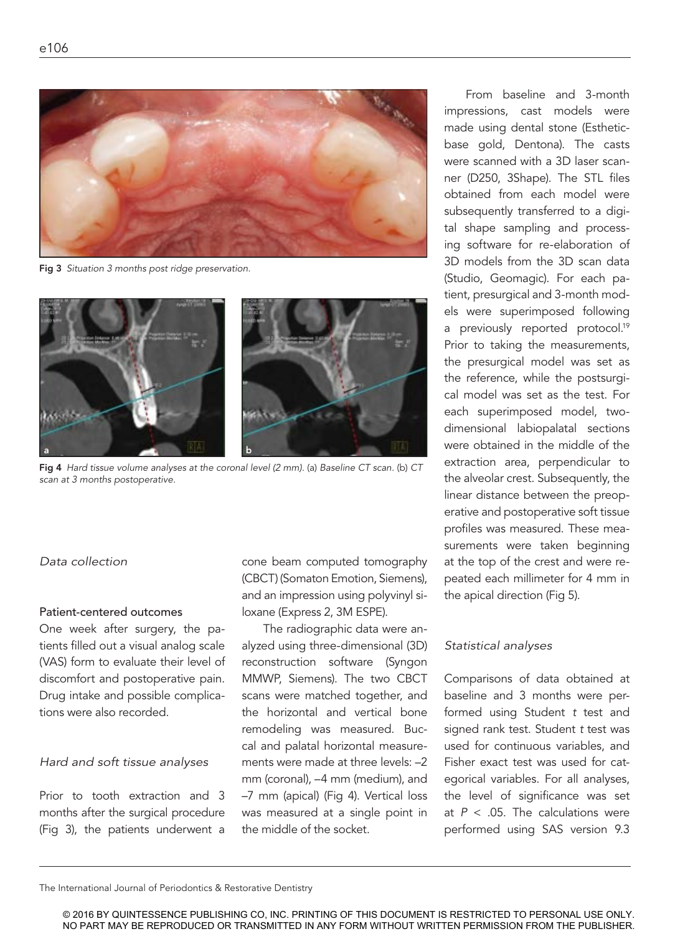

Fig 3 *Situation 3 months post ridge preservation.*



Fig 4 *Hard tissue volume analyses at the coronal level (2 mm).* (a) *Baseline CT scan.* (b) *CT scan at 3 months postoperative.*

## *Data collection*

#### Patient-centered outcomes

One week after surgery, the patients filled out a visual analog scale (VAS) form to evaluate their level of discomfort and postoperative pain. Drug intake and possible complications were also recorded.

#### *Hard and soft tissue analyses*

Prior to tooth extraction and 3 months after the surgical procedure (Fig 3), the patients underwent a cone beam computed tomography (CBCT) (Somaton Emotion, Siemens), and an impression using polyvinyl siloxane (Express 2, 3M ESPE).

The radiographic data were analyzed using three-dimensional (3D) reconstruction software (Syngon MMWP, Siemens). The two CBCT scans were matched together, and the horizontal and vertical bone remodeling was measured. Buccal and palatal horizontal measurements were made at three levels: –2 mm (coronal), –4 mm (medium), and –7 mm (apical) (Fig 4). Vertical loss was measured at a single point in the middle of the socket.

From baseline and 3-month impressions, cast models were made using dental stone (Estheticbase gold, Dentona). The casts were scanned with a 3D laser scanner (D250, 3Shape). The STL files obtained from each model were subsequently transferred to a digital shape sampling and processing software for re-elaboration of 3D models from the 3D scan data (Studio, Geomagic). For each patient, presurgical and 3-month models were superimposed following a previously reported protocol.<sup>19</sup> Prior to taking the measurements, the presurgical model was set as the reference, while the postsurgical model was set as the test. For each superimposed model, twodimensional labiopalatal sections were obtained in the middle of the extraction area, perpendicular to the alveolar crest. Subsequently, the linear distance between the preoperative and postoperative soft tissue profiles was measured. These measurements were taken beginning at the top of the crest and were repeated each millimeter for 4 mm in the apical direction (Fig 5).

#### *Statistical analyses*

Comparisons of data obtained at baseline and 3 months were performed using Student *t* test and signed rank test. Student *t* test was used for continuous variables, and Fisher exact test was used for categorical variables. For all analyses, the level of significance was set at *P* < .05. The calculations were performed using SAS version 9.3

The International Journal of Periodontics & Restorative Dentistry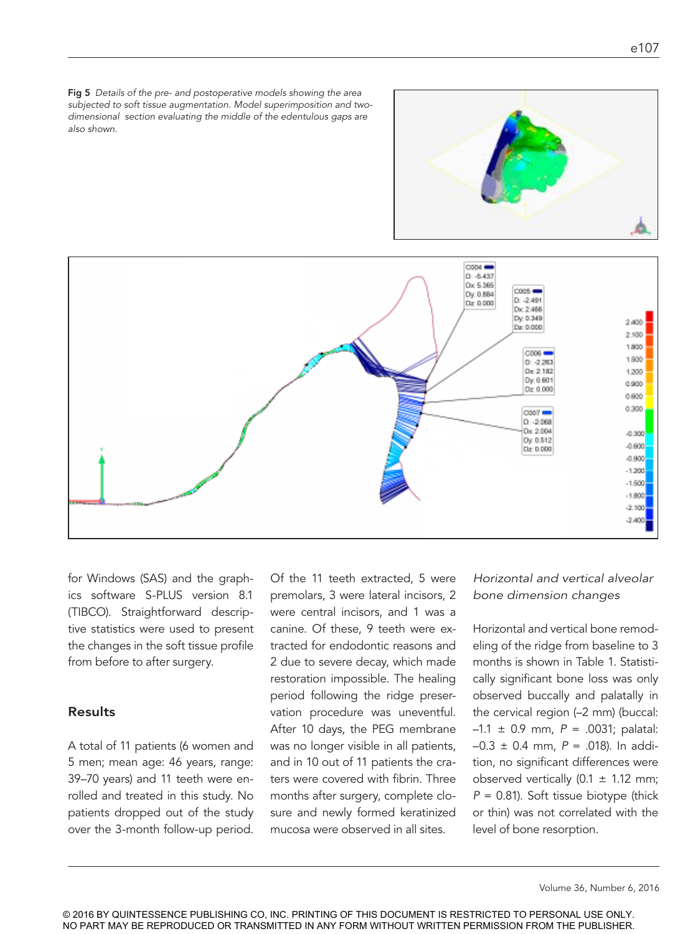Fig 5 *Details of the pre- and postoperative models showing the area subjected to soft tissue augmentation. Model superimposition and twodimensional section evaluating the middle of the edentulous gaps are also shown.* 





for Windows (SAS) and the graphics software S-PLUS version 8.1 (TIBCO). Straightforward descriptive statistics were used to present the changes in the soft tissue profile from before to after surgery.

## Results

A total of 11 patients (6 women and 5 men; mean age: 46 years, range: 39–70 years) and 11 teeth were enrolled and treated in this study. No patients dropped out of the study over the 3-month follow-up period. Of the 11 teeth extracted, 5 were premolars, 3 were lateral incisors, 2 were central incisors, and 1 was a canine. Of these, 9 teeth were extracted for endodontic reasons and 2 due to severe decay, which made restoration impossible. The healing period following the ridge preservation procedure was uneventful. After 10 days, the PEG membrane was no longer visible in all patients, and in 10 out of 11 patients the craters were covered with fibrin. Three months after surgery, complete closure and newly formed keratinized mucosa were observed in all sites.

## *Horizontal and vertical alveolar bone dimension changes*

Horizontal and vertical bone remodeling of the ridge from baseline to 3 months is shown in Table 1. Statistically significant bone loss was only observed buccally and palatally in the cervical region (–2 mm) (buccal: –1.1 ± 0.9 mm, *P* = .0031; palatal: –0.3 ± 0.4 mm, *P* = .018). In addition, no significant differences were observed vertically  $(0.1 \pm 1.12 \text{ mm})$ ; *P* = 0.81). Soft tissue biotype (thick or thin) was not correlated with the level of bone resorption.

© 2016 BY QUINTESSENCE PUBLISHING CO, INC. PRINTING OF THIS DOCUMENT IS RESTRICTED TO PERSONAL USE ONLY. NO PART MAY BE REPRODUCED OR TRANSMITTED IN ANY FORM WITHOUT WRITTEN PERMISSION FROM THE PUBLISHER.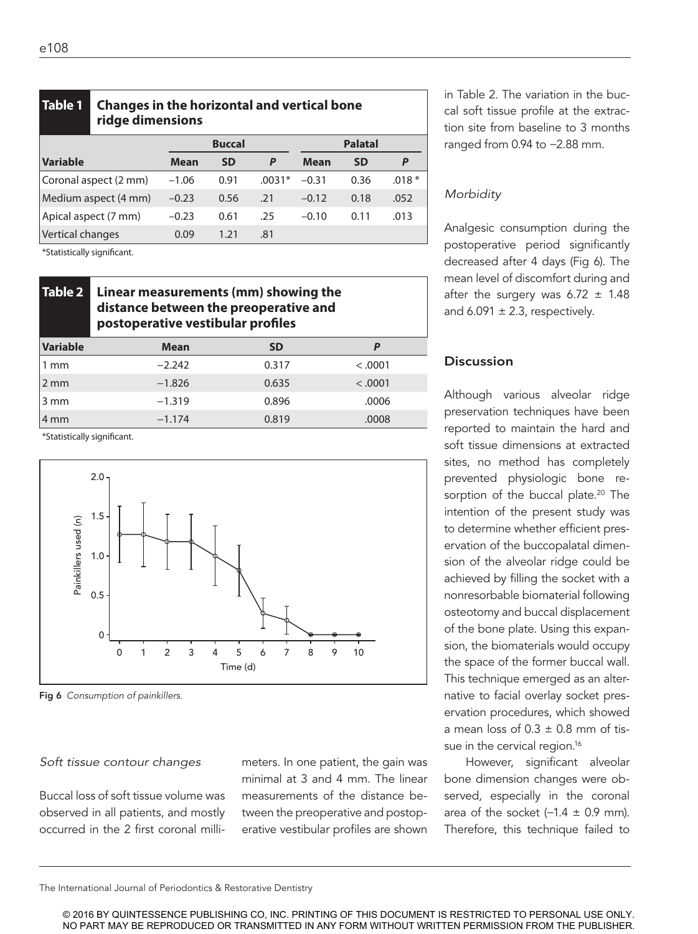## **Table 1 Changes in the horizontal and vertical bone ridge dimensions**

|                       | <b>Buccal</b> |           |          | <b>Palatal</b> |           |         |
|-----------------------|---------------|-----------|----------|----------------|-----------|---------|
| <b>Variable</b>       | <b>Mean</b>   | <b>SD</b> | P        | <b>Mean</b>    | <b>SD</b> | P       |
| Coronal aspect (2 mm) | $-1.06$       | 0.91      | $.0031*$ | $-0.31$        | 0.36      | $.018*$ |
| Medium aspect (4 mm)  | $-0.23$       | 0.56      | .21      | $-0.12$        | 0.18      | .052    |
| Apical aspect (7 mm)  | $-0.23$       | 0.61      | .25      | $-0.10$        | 0.11      | .013    |
| Vertical changes      | 0.09          | 1.21      | .81      |                |           |         |

\*Statistically significant.

## **Table 2 Linear measurements (mm) showing the distance between the preoperative and postoperative vestibular profiles**

| <b>Variable</b> | <b>Mean</b> | <b>SD</b> | P        |  |
|-----------------|-------------|-----------|----------|--|
| $1 \text{ mm}$  | $-2.242$    | 0.317     | < 0.0001 |  |
| $2 \text{ mm}$  | $-1.826$    | 0.635     | < .0001  |  |
| $3 \text{ mm}$  | $-1.319$    | 0.896     | .0006    |  |
| 4 <sub>mm</sub> | $-1.174$    | 0.819     | .0008    |  |

\*Statistically significant.



Fig 6 *Consumption of painkillers.* 

#### *Soft tissue contour changes*

Buccal loss of soft tissue volume was observed in all patients, and mostly occurred in the 2 first coronal millimeters. In one patient, the gain was minimal at 3 and 4 mm. The linear measurements of the distance between the preoperative and postoperative vestibular profiles are shown in Table 2. The variation in the buccal soft tissue profile at the extraction site from baseline to 3 months ranged from 0.94 to −2.88 mm.

### *Morbidity*

Analgesic consumption during the postoperative period significantly decreased after 4 days (Fig 6). The mean level of discomfort during and after the surgery was  $6.72 \pm 1.48$ and  $6.091 \pm 2.3$ , respectively.

## **Discussion**

Although various alveolar ridge preservation techniques have been reported to maintain the hard and soft tissue dimensions at extracted sites, no method has completely prevented physiologic bone resorption of the buccal plate.<sup>20</sup> The intention of the present study was to determine whether efficient preservation of the buccopalatal dimension of the alveolar ridge could be achieved by filling the socket with a nonresorbable biomaterial following osteotomy and buccal displacement of the bone plate. Using this expansion, the biomaterials would occupy the space of the former buccal wall. This technique emerged as an alternative to facial overlay socket preservation procedures, which showed a mean loss of  $0.3 \pm 0.8$  mm of tissue in the cervical region.<sup>16</sup>

However, significant alveolar bone dimension changes were observed, especially in the coronal area of the socket  $(-1.4 \pm 0.9 \text{ mm})$ . Therefore, this technique failed to

```
The International Journal of Periodontics & Restorative Dentistry
```
© 2016 BY QUINTESSENCE PUBLISHING CO, INC. PRINTING OF THIS DOCUMENT IS RESTRICTED TO PERSONAL USE ONLY. NO PART MAY BE REPRODUCED OR TRANSMITTED IN ANY FORM WITHOUT WRITTEN PERMISSION FROM THE PUBLISHER.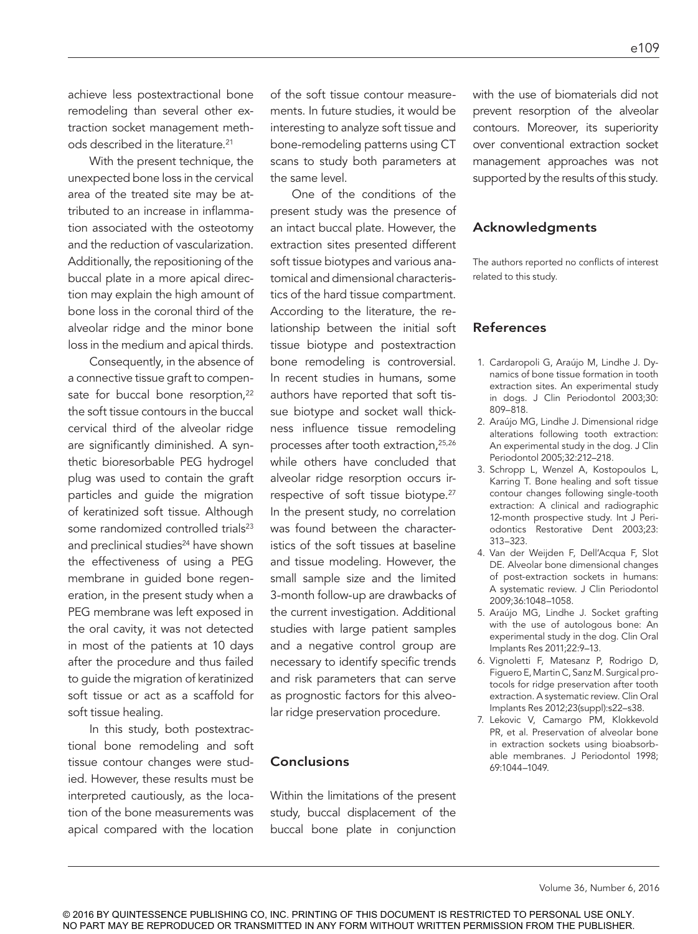achieve less postextractional bone remodeling than several other extraction socket management methods described in the literature.<sup>21</sup>

With the present technique, the unexpected bone loss in the cervical area of the treated site may be attributed to an increase in inflammation associated with the osteotomy and the reduction of vascularization. Additionally, the repositioning of the buccal plate in a more apical direction may explain the high amount of bone loss in the coronal third of the alveolar ridge and the minor bone loss in the medium and apical thirds.

Consequently, in the absence of a connective tissue graft to compensate for buccal bone resorption,<sup>22</sup> the soft tissue contours in the buccal cervical third of the alveolar ridge are significantly diminished. A synthetic bioresorbable PEG hydrogel plug was used to contain the graft particles and guide the migration of keratinized soft tissue. Although some randomized controlled trials<sup>23</sup> and preclinical studies<sup>24</sup> have shown the effectiveness of using a PEG membrane in guided bone regeneration, in the present study when a PEG membrane was left exposed in the oral cavity, it was not detected in most of the patients at 10 days after the procedure and thus failed to guide the migration of keratinized soft tissue or act as a scaffold for soft tissue healing.

In this study, both postextractional bone remodeling and soft tissue contour changes were studied. However, these results must be interpreted cautiously, as the location of the bone measurements was apical compared with the location

of the soft tissue contour measurements. In future studies, it would be interesting to analyze soft tissue and bone-remodeling patterns using CT scans to study both parameters at the same level.

One of the conditions of the present study was the presence of an intact buccal plate. However, the extraction sites presented different soft tissue biotypes and various anatomical and dimensional characteristics of the hard tissue compartment. According to the literature, the relationship between the initial soft tissue biotype and postextraction bone remodeling is controversial. In recent studies in humans, some authors have reported that soft tissue biotype and socket wall thickness influence tissue remodeling processes after tooth extraction,25,26 while others have concluded that alveolar ridge resorption occurs irrespective of soft tissue biotype.27 In the present study, no correlation was found between the characteristics of the soft tissues at baseline and tissue modeling. However, the small sample size and the limited 3-month follow-up are drawbacks of the current investigation. Additional studies with large patient samples and a negative control group are necessary to identify specific trends and risk parameters that can serve as prognostic factors for this alveolar ridge preservation procedure.

#### Conclusions

Within the limitations of the present study, buccal displacement of the buccal bone plate in conjunction

with the use of biomaterials did not prevent resorption of the alveolar contours. Moreover, its superiority over conventional extraction socket management approaches was not supported by the results of this study.

#### Acknowledgments

The authors reported no conflicts of interest related to this study.

#### References

- 1. Cardaropoli G, Araújo M, Lindhe J. Dynamics of bone tissue formation in tooth extraction sites. An experimental study in dogs. J Clin Periodontol 2003;30: 809–818.
- 2. Araújo MG, Lindhe J. Dimensional ridge alterations following tooth extraction: An experimental study in the dog. J Clin Periodontol 2005;32:212–218.
- 3. Schropp L, Wenzel A, Kostopoulos L, Karring T. Bone healing and soft tissue contour changes following single-tooth extraction: A clinical and radiographic 12-month prospective study. Int J Periodontics Restorative Dent 2003;23: 313–323.
- 4. Van der Weijden F, Dell'Acqua F, Slot DE. Alveolar bone dimensional changes of post-extraction sockets in humans: A systematic review. J Clin Periodontol 2009;36:1048–1058.
- 5. Araújo MG, Lindhe J. Socket grafting with the use of autologous bone: An experimental study in the dog. Clin Oral Implants Res 2011;22:9–13.
- 6. Vignoletti F, Matesanz P, Rodrigo D, Figuero E, Martin C, Sanz M. Surgical protocols for ridge preservation after tooth extraction. A systematic review. Clin Oral Implants Res 2012;23(suppl):s22–s38.
- 7. Lekovic V, Camargo PM, Klokkevold PR, et al. Preservation of alveolar bone in extraction sockets using bioabsorbable membranes. J Periodontol 1998; 69:1044–1049.